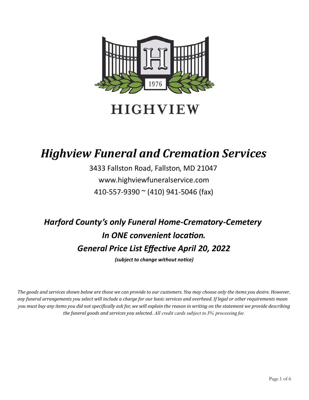

**HIGHVIEW** 

## Highview Funeral and Cremation Services

3433 Fallston Road, Fallston, MD 21047 www.highviewfuneralservice.com 410-557-9390 ~ (410) 941-5046 (fax)

# Harford County's only Funeral Home-Crematory-Cemetery In ONE convenient location. General Price List Effective April 20, 2022

(subject to change without notice)

The goods and services shown below are those we can provide to our customers. You may choose only the items you desire. However, any funeral arrangements you select will include a charge for our basic services and overhead. If legal or other requirements mean you must buy any items you did not specifically ask for, we will explain the reason in writing on the statement we provide describing the funeral goods and services you selected. All credit cards subject to 3% processing fee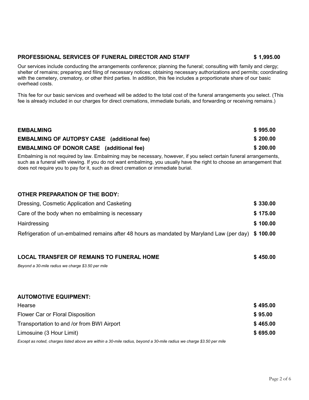### PROFESSIONAL SERVICES OF FUNERAL DIRECTOR AND STAFF \$ 1,995.00

Our services include conducting the arrangements conference; planning the funeral; consulting with family and clergy; shelter of remains; preparing and filing of necessary notices; obtaining necessary authorizations and permits; coordinating with the cemetery, crematory, or other third parties. In addition, this fee includes a proportionate share of our basic overhead costs.

This fee for our basic services and overhead will be added to the total cost of the funeral arrangements you select. (This fee is already included in our charges for direct cremations, immediate burials, and forwarding or receiving remains.)

| <b>EMBALMING</b>                                  | \$995.00 |
|---------------------------------------------------|----------|
| <b>EMBALMING OF AUTOPSY CASE</b> (additional fee) | \$200.00 |
| <b>EMBALMING OF DONOR CASE</b> (additional fee)   | \$200.00 |

Embalming is not required by law. Embalming may be necessary, however, if you select certain funeral arrangements, such as a funeral with viewing. If you do not want embalming, you usually have the right to choose an arrangement that does not require you to pay for it, such as direct cremation or immediate burial.

#### OTHER PREPARATION OF THE BODY:

| Dressing, Cosmetic Application and Casketing                                                       | \$330.00 |
|----------------------------------------------------------------------------------------------------|----------|
| Care of the body when no embalming is necessary                                                    | \$175.00 |
| Hairdressing                                                                                       | \$100.00 |
| Refrigeration of un-embalmed remains after 48 hours as mandated by Maryland Law (per day) \$100.00 |          |

| <b>LOCAL TRANSFER OF REMAINS TO FUNERAL HOME</b>  | \$450.00 |
|---------------------------------------------------|----------|
| Beyond a 30-mile radius we charge \$3.50 per mile |          |
|                                                   |          |
| <b>AUTOMOTIVE EQUIPMENT:</b>                      |          |
| Hearse                                            | \$495.00 |
| Flower Car or Floral Disposition                  | \$95.00  |
| Transportation to and /or from BWI Airport        | \$465.00 |
| Limosuine (3 Hour Limit)                          | \$695.00 |

Except as noted, charges listed above are within a 30-mile radius, beyond a 30-mile radius we charge \$3.50 per mile

#### Page 2 of 6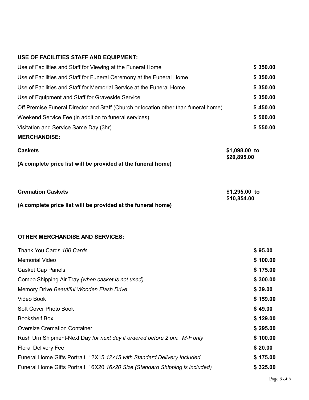### USE OF FACILITIES STAFF AND EQUIPMENT:

| Use of Facilities and Staff for Viewing at the Funeral Home                         | \$350.00                     |
|-------------------------------------------------------------------------------------|------------------------------|
| Use of Facilities and Staff for Funeral Ceremony at the Funeral Home                | \$350.00                     |
| Use of Facilities and Staff for Memorial Service at the Funeral Home                | \$350.00                     |
| Use of Equipment and Staff for Graveside Service                                    | \$350.00                     |
| Off Premise Funeral Director and Staff (Church or location other than funeral home) | \$450.00                     |
| Weekend Service Fee (in addition to funeral services)                               | \$500.00                     |
| Visitation and Service Same Day (3hr)                                               | \$550.00                     |
| <b>MERCHANDISE:</b>                                                                 |                              |
| <b>Caskets</b><br>(A complete price list will be provided at the funeral home)      | \$1,098.00 to<br>\$20,895.00 |
|                                                                                     |                              |
| <b>Cremation Caskets</b>                                                            | \$1,295.00 to<br>\$10,854.00 |
| (A complete price list will be provided at the funeral home)                        |                              |
|                                                                                     |                              |
| <b>OTHER MERCHANDISE AND SERVICES:</b>                                              |                              |
| Thank You Cards 100 Cards                                                           | \$95.00                      |
| <b>Memorial Video</b>                                                               | \$100.00                     |
| <b>Casket Cap Panels</b>                                                            | \$175.00                     |
| Combo Shipping Air Tray (when casket is not used)                                   | \$300.00                     |
| Memory Drive Beautiful Wooden Flash Drive                                           | \$39.00                      |
| Video Book                                                                          | \$159.00                     |
| Soft Cover Photo Book                                                               | \$49.00                      |
| <b>Bookshelf Box</b>                                                                | \$129.00                     |
| <b>Oversize Cremation Container</b>                                                 | \$295.00                     |
| Rush Urn Shipment-Next Day for next day if ordered before 2 pm. M-F only            | \$100.00                     |
| <b>Floral Delivery Fee</b>                                                          | \$20.00                      |
| Funeral Home Gifts Portrait 12X15 12x15 with Standard Delivery Included             | \$175.00                     |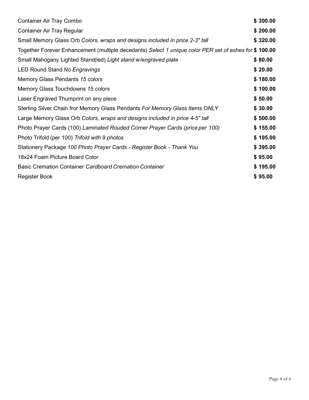| <b>Container Air Tray Combo</b>                                                                       | \$300.00 |  |
|-------------------------------------------------------------------------------------------------------|----------|--|
| <b>Container Air Tray Regular</b>                                                                     | \$200.00 |  |
| Small Memory Glass Orb Colors, wraps and designs included in price 2-3" tall                          | \$320.00 |  |
| Together Forever Enhancement (multiple decedants) Select 1 unique color PER set of ashes for \$100.00 |          |  |
| Small Mahogany Lighted Stand(led) Light stand w/engraved plate                                        | \$80.00  |  |
| <b>LED Round Stand No Engravings</b>                                                                  | \$20.00  |  |
| Memory Glass Pendants 15 colors                                                                       | \$180.00 |  |
| Memory Glass Touchdowns 15 colors                                                                     | \$100.00 |  |
| Laser Engraved Thumprint on any piece                                                                 | \$50.00  |  |
| Sterling Silver Chain fror Memory Glass Pendants For Memory Glass Items ONLY                          | \$30.00  |  |
| Large Memory Glass Orb Colors, wraps and designs included in price 4-5" tall                          | \$500.00 |  |
| Photo Prayer Cards (100) Laminated Rouded Corner Prayer Cards (price per 100)                         | \$155.00 |  |
| Photo Trifold (per 100) Trifold with 9 photos                                                         | \$195.00 |  |
| Stationery Package 100 Photo Prayer Cards - Register Book - Thank You                                 | \$395.00 |  |
| 18x24 Foam Picture Board Color                                                                        | \$95.00  |  |
| Basic Cremation Container Cardboard Cremation Container                                               | \$195.00 |  |
| <b>Register Book</b>                                                                                  | \$95.00  |  |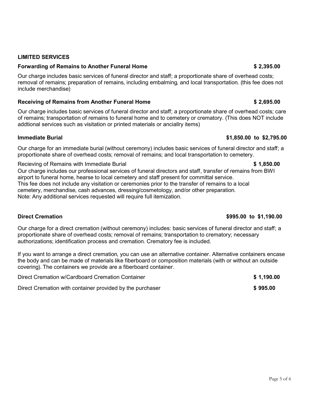### LIMITED SERVICES

### Forwarding of Remains to Another Funeral Home **\$ 2,395.00** \$ 2,395.00

Our charge includes basic services of funeral director and staff; a proportionate share of overhead costs; removal of remains; preparation of remains, including embalming, and local transportation. (this fee does not include merchandise)

### Receiving of Remains from Another Funeral Home **\$ 2,695.00** \$ 2,695.00

Our charge includes basic services of funeral director and staff; a proportionate share of overhead costs; care of remains; transportation of remains to funeral home and to cemetery or crematory. (This does NOT include addtional services such as visitation or printed materials or anciallry items)

#### Immediate Burial  $$1,850.00$  to  $$2,795.00$

Our charge for an immediate burial (without ceremony) includes basic services of funeral director and staff; a proportionate share of overhead costs; removal of remains; and local transportation to cemetery.

Recieving of Remains with Immediate Burial **\$ 1,850.00 \$ 1,850.00** 

Our charge includes our professional services of funeral directors and staff, transfer of remains from BWI airport to funeral home, hearse to local cemetery and staff present for committal service. This fee does not include any visitation or ceremonies prior to the transfer of remains to a local cemetery, merchandise, cash advances, dressing/cosmetology, and/or other preparation. Note: Any additional services requested will require full itemization.

Our charge for a direct cremation (without ceremony) includes: basic services of funeral director and staff; a proportionate share of overhead costs; removal of remains; transportation to crematory; necessary authorizations; identification process and cremation. Crematory fee is included.

If you want to arrange a direct cremation, you can use an alternative container. Alternative containers encase the body and can be made of materials like fiberboard or composition materials (with or without an outside covering). The containers we provide are a fiberboard container.

| Direct Cremation w/Cardboard Cremation Container          | \$1,190.00 |
|-----------------------------------------------------------|------------|
| Direct Cremation with container provided by the purchaser | \$995.00   |

#### Direct Cremation  $$995.00$  to \$1,190.00